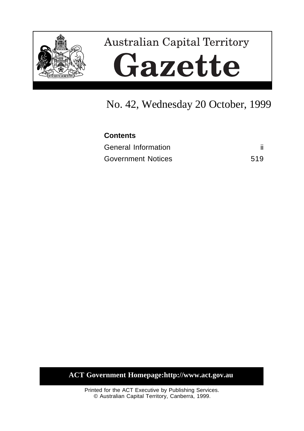

# **Australian Capital Territory** Gazette

## No. 42, Wednesday 20 October, 1999

# **Contents**

| General Information       |     |
|---------------------------|-----|
| <b>Government Notices</b> | 519 |

**ACT Government Homepage:http://www.act.gov.au**

Printed for the ACT Executive by Publishing Services. © Australian Capital Territory, Canberra, 1999.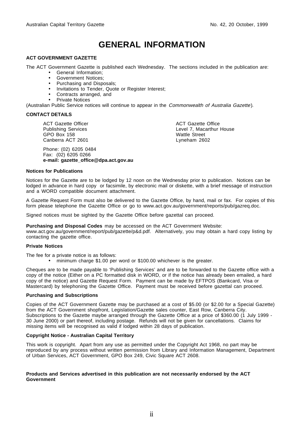## **GENERAL INFORMATION**

#### **ACT GOVERNMENT GAZETTE**

The ACT Government Gazette is published each Wednesday. The sections included in the publication are:

- General Information;
- Government Notices;
- Purchasing and Disposals;
- Invitations to Tender, Quote or Register Interest;
- Contracts arranged, and
- Private Notices

(Australian Public Service notices will continue to appear in the Commonwealth of Australia Gazette).

#### **CONTACT DETAILS**

ACT Gazette Officer Publishing Services GPO Box 158 Canberra ACT 2601

Phone: (02) 6205 0484 Fax: (02) 6205 0266 **e-mail: gazette\_office@dpa.act.gov.au** ACT Gazette Office Level 7, Macarthur House Wattle Street Lyneham 2602

#### **Notices for Publications**

Notices for the Gazette are to be lodged by 12 noon on the Wednesday prior to publication. Notices can be lodged in advance in hard copy or facsimile, by electronic mail or diskette, with a brief message of instruction and a WORD compatible document attachment.

A Gazette Request Form must also be delivered to the Gazette Office, by hand, mail or fax. For copies of this form please telephone the Gazette Office or go to www.act.gov.au/government/reports/pub/gazreq.doc.

Signed notices must be sighted by the Gazette Office before gazettal can proceed.

**Purchasing and Disposal Codes** may be accessed on the ACT Government Website:

www.act.gov.au/government/report/pub/gazette/p&d.pdf. Alternatively, you may obtain a hard copy listing by contacting the gazette office.

#### **Private Notices**

The fee for a private notice is as follows:

• minimum charge \$1.00 per word or \$100.00 whichever is the greater.

Cheques are to be made payable to 'Publishing Services' and are to be forwarded to the Gazette office with a copy of the notice (Either on a PC formatted disk in WORD, or if the notice has already been emailed, a hard copy of the notice) and Gazette Request Form. Payment can be made by EFTPOS (Bankcard, Visa or Mastercard) by telephoning the Gazette Office. Payment must be received before gazettal can proceed.

#### **Purchasing and Subscriptions**

Copies of the ACT Government Gazette may be purchased at a cost of \$5.00 (or \$2.00 for a Special Gazette) from the ACT Government shopfront, Legislation/Gazette sales counter, East Row, Canberra City. Subscriptions to the Gazette maybe arranged through the Gazette Office at a price of \$360.00 (1 July 1999 -30 June 2000) or part thereof, including postage. Refunds will not be given for cancellations. Claims for missing items will be recognised as valid if lodged within 28 days of publication.

#### **Copyright Notice - Australian Capital Territory**

This work is copyright. Apart from any use as permitted under the Copyright Act 1968, no part may be reproduced by any process without written permission from Library and Information Management, Department of Urban Services, ACT Government, GPO Box 249, Civic Square ACT 2608.

#### **Products and Services advertised in this publication are not necessarily endorsed by the ACT Government**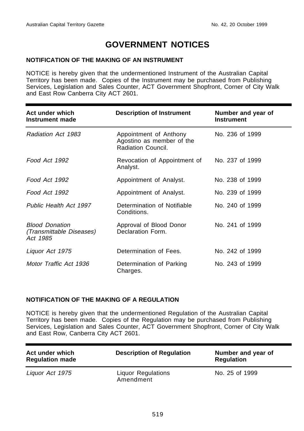## **GOVERNMENT NOTICES**

#### **NOTIFICATION OF THE MAKING OF AN INSTRUMENT**

NOTICE is hereby given that the undermentioned Instrument of the Australian Capital Territory has been made. Copies of the Instrument may be purchased from Publishing Services, Legislation and Sales Counter, ACT Government Shopfront, Corner of City Walk and East Row Canberra City ACT 2601.

| Act under which<br>Instrument made                            | <b>Description of Instrument</b>                                          | Number and year of<br><b>Instrument</b> |
|---------------------------------------------------------------|---------------------------------------------------------------------------|-----------------------------------------|
| Radiation Act 1983                                            | Appointment of Anthony<br>Agostino as member of the<br>Radiation Council. | No. 236 of 1999                         |
| Food Act 1992                                                 | Revocation of Appointment of<br>Analyst.                                  | No. 237 of 1999                         |
| Food Act 1992                                                 | Appointment of Analyst.                                                   | No. 238 of 1999                         |
| Food Act 1992                                                 | Appointment of Analyst.                                                   | No. 239 of 1999                         |
| Public Health Act 1997                                        | Determination of Notifiable<br>Conditions.                                | No. 240 of 1999                         |
| <b>Blood Donation</b><br>(Transmittable Diseases)<br>Act 1985 | Approval of Blood Donor<br>Declaration Form.                              | No. 241 of 1999                         |
| Liquor Act 1975                                               | Determination of Fees.                                                    | No. 242 of 1999                         |
| Motor Traffic Act 1936                                        | Determination of Parking<br>Charges.                                      | No. 243 of 1999                         |

#### **NOTIFICATION OF THE MAKING OF A REGULATION**

NOTICE is hereby given that the undermentioned Regulation of the Australian Capital Territory has been made. Copies of the Regulation may be purchased from Publishing Services, Legislation and Sales Counter, ACT Government Shopfront, Corner of City Walk and East Row, Canberra City ACT 2601.

| Act under which<br><b>Regulation made</b> | <b>Description of Regulation</b>       | Number and year of<br><b>Regulation</b> |
|-------------------------------------------|----------------------------------------|-----------------------------------------|
| Liguor Act 1975                           | <b>Liquor Regulations</b><br>Amendment | No. 25 of 1999                          |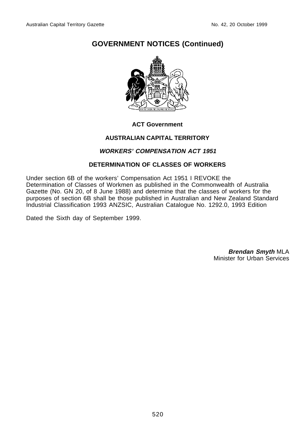

#### **ACT Government**

#### **AUSTRALIAN CAPITAL TERRITORY**

#### **WORKERS' COMPENSATION ACT 1951**

#### **DETERMINATION OF CLASSES OF WORKERS**

Under section 6B of the workers' Compensation Act 1951 I REVOKE the Determination of Classes of Workmen as published in the Commonwealth of Australia Gazette (No. GN 20, of 8 June 1988) and determine that the classes of workers for the purposes of section 6B shall be those published in Australian and New Zealand Standard Industrial Classification 1993 ANZSIC, Australian Catalogue No. 1292.0, 1993 Edition

Dated the Sixth day of September 1999.

**Brendan Smyth** MLA Minister for Urban Services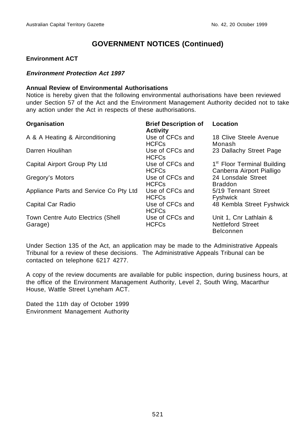#### **Environment ACT**

#### **Environment Protection Act 1997**

#### **Annual Review of Environmental Authorisations**

Notice is hereby given that the following environmental authorisations have been reviewed under Section 57 of the Act and the Environment Management Authority decided not to take any action under the Act in respects of these authorisations.

| Organisation                                 | <b>Brief Description of</b><br><b>Activity</b> | Location                                                               |
|----------------------------------------------|------------------------------------------------|------------------------------------------------------------------------|
| A & A Heating & Airconditioning              | Use of CFCs and<br><b>HCFCs</b>                | 18 Clive Steele Avenue<br>Monash                                       |
| Darren Houlihan                              | Use of CFCs and<br><b>HCFCs</b>                | 23 Dallachy Street Page                                                |
| Capital Airport Group Pty Ltd                | Use of CFCs and<br><b>HCFCs</b>                | 1 <sup>st</sup> Floor Terminal Building<br>Canberra Airport Pialligo   |
| Gregory's Motors                             | Use of CFCs and<br><b>HCFCs</b>                | 24 Lonsdale Street<br><b>Braddon</b>                                   |
| Appliance Parts and Service Co Pty Ltd       | Use of CFCs and<br><b>HCFCs</b>                | 5/19 Tennant Street<br><b>Fyshwick</b>                                 |
| Capital Car Radio                            | Use of CFCs and<br><b>HCFCs</b>                | 48 Kembla Street Fyshwick                                              |
| Town Centre Auto Electrics (Shell<br>Garage) | Use of CFCs and<br><b>HCFCs</b>                | Unit 1, Cnr Lathlain &<br><b>Nettleford Street</b><br><b>Belconnen</b> |

Under Section 135 of the Act, an application may be made to the Administrative Appeals Tribunal for a review of these decisions. The Administrative Appeals Tribunal can be contacted on telephone 6217 4277.

A copy of the review documents are available for public inspection, during business hours, at the office of the Environment Management Authority, Level 2, South Wing, Macarthur House, Wattle Street Lyneham ACT.

Dated the 11th day of October 1999 Environment Management Authority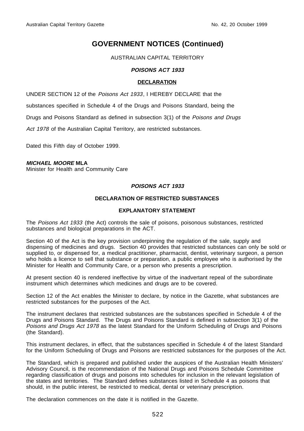#### AUSTRALIAN CAPITAL TERRITORY

#### **POISONS ACT 1933**

#### **DECLARATION**

UNDER SECTION 12 of the Poisons Act 1933, I HEREBY DECLARE that the

substances specified in Schedule 4 of the Drugs and Poisons Standard, being the

Drugs and Poisons Standard as defined in subsection 3(1) of the Poisons and Drugs

Act 1978 of the Australian Capital Territory, are restricted substances.

Dated this Fifth day of October 1999.

#### **MICHAEL MOORE MLA**

Minister for Health and Community Care

#### **POISONS ACT 1933**

#### **DECLARATION OF RESTRICTED SUBSTANCES**

#### **EXPLANATORY STATEMENT**

The Poisons Act 1933 (the Act) controls the sale of poisons, poisonous substances, restricted substances and biological preparations in the ACT.

Section 40 of the Act is the key provision underpinning the regulation of the sale, supply and dispensing of medicines and drugs. Section 40 provides that restricted substances can only be sold or supplied to, or dispensed for, a medical practitioner, pharmacist, dentist, veterinary surgeon, a person who holds a licence to sell that substance or preparation, a public employee who is authorised by the Minister for Health and Community Care, or a person who presents a prescription.

At present section 40 is rendered ineffective by virtue of the inadvertant repeal of the subordinate instrument which determines which medicines and drugs are to be covered.

Section 12 of the Act enables the Minister to declare, by notice in the Gazette, what substances are restricted substances for the purposes of the Act.

The instrument declares that restricted substances are the substances specified in Schedule 4 of the Drugs and Poisons Standard. The Drugs and Poisons Standard is defined in subsection 3(1) of the Poisons and Drugs Act 1978 as the latest Standard for the Uniform Scheduling of Drugs and Poisons (the Standard).

This instrument declares, in effect, that the substances specified in Schedule 4 of the latest Standard for the Uniform Scheduling of Drugs and Poisons are restricted substances for the purposes of the Act.

The Standard, which is prepared and published under the auspices of the Australian Health Ministers' Advisory Council, is the recommendation of the National Drugs and Poisons Schedule Committee regarding classification of drugs and poisons into schedules for inclusion in the relevant legislation of the states and territories. The Standard defines substances listed in Schedule 4 as poisons that should, in the public interest, be restricted to medical, dental or veterinary prescription.

The declaration commences on the date it is notified in the Gazette.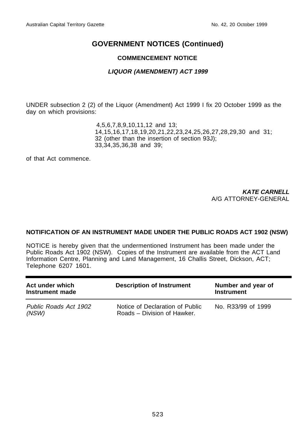#### **COMMENCEMENT NOTICE**

#### **LIQUOR (AMENDMENT) ACT 1999**

UNDER subsection 2 (2) of the Liquor (Amendment) Act 1999 I fix 20 October 1999 as the day on which provisions:

> 4,5,6,7,8,9,10,11,12 and 13; 14,15,16,17,18,19,20,21,22,23,24,25,26,27,28,29,30 and 31; 32 (other than the insertion of section 93J); 33,34,35,36,38 and 39;

of that Act commence.

**KATE CARNELL** A/G ATTORNEY-GENERAL

#### **NOTIFICATION OF AN INSTRUMENT MADE UNDER THE PUBLIC ROADS ACT 1902 (NSW)**

NOTICE is hereby given that the undermentioned Instrument has been made under the Public Roads Act 1902 (NSW). Copies of the Instrument are available from the ACT Land Information Centre, Planning and Land Management, 16 Challis Street, Dickson, ACT; Telephone 6207 1601.

| Act under which<br>Instrument made | <b>Description of Instrument</b>                               | Number and year of<br><b>Instrument</b> |
|------------------------------------|----------------------------------------------------------------|-----------------------------------------|
| Public Roads Act 1902<br>(NSW)     | Notice of Declaration of Public<br>Roads – Division of Hawker. | No. R33/99 of 1999                      |